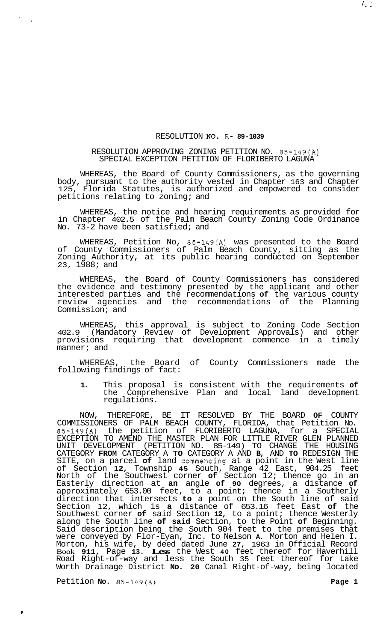## RESOLUTION NO- R- **89-1039**

## RESOLUTION APPROVING ZONING PETITION NO. 85-149(A) SPECIAL EXCEPTION PETITION OF FLORIBERTO LAGUNA

WHEREAS, the Board of County Commissioners, as the governing body, pursuant to the authority vested in Chapter 163 and Chapter Florida Statutes, is authorized and empowered to consider petitions relating to zoning; and

WHEREAS, the notice and hearing requirements as provided for in Chapter 402.5 of the Palm Beach County Zoning Code Ordinance No. 73-2 have been satisfied; and

WHEREAS, Petition No, 85-149(A) was presented to the Board of County Commissioners of Palm Beach County, sitting as the Zoning Authority, at its public hearing conducted on September 23, 1988; and

WHEREAS, the Board of County Commissioners has considered the evidence and testimony presented by the applicant and other interested parties and the recommendations **of** the various county review agencies and the recommendations of the Planning Commission; and

WHEREAS, this approval is subject to Zoning Code Section 402.9 (Mandatory Review of Development Approvals) and other provisions requiring that development commence in a timely manner; and

WHEREAS, the Board of County Commissioners made the following findings of fact:

**1.** This proposal is consistent with the requirements **of**  the Comprehensive Plan and local land development regulations.

NOW, THEREFORE, BE IT RESOLVED BY THE BOARD **OF** COUNTY COMMISSIONERS OF PALM BEACH COUNTY, FLORIDA, that Petition No. 85-149(A) the petition of FLORIBERTO LAGUNA, for a SPECIAL EXCEPTION TO AMEND THE MASTER PLAN FOR LITTLE RIVER GLEN PLANNED UNIT DEVELOPMENT (PETITION NO. 85-149) TO CHANGE THE HOUSING CATEGORY **FROM** CATEGORY A **TO** CATEGORY A AND **B,** AND **TO** REDESIGN THE SITE, on a parcel **of** land commencing at a point in the West line of Section **12,** Township **45** South, Range 42 East, 904.25 feet North of the Southwest corner **of** Section 12; thence go in an Easterly direction at **an** angle **of 90** degrees, a distance **of**  approximately 653.00 feet, to a point; thence in a Southerly direction that intersects **to** a point on the South line of said Section 12, which is **a** distance of 653.16 feet East **of** the Southwest corner **of** said Section **12,** to a point; thence Westerly along the South line **of said** Section, to the Point **of** Beginning. Said description being the South 904 feet to the premises that were conveyed by Flor-Eyan, Inc. to Nelson **A.** Morton and Helen I. Morton, his wife, by deed dated June **27,** 1963 in Official Record Book **911,** Page **13. Less** the West **40** feet thereof for Haverhill Road Right-of-way and less the South 35 feet thereof for Lake Worth Drainage District **No. 20** Canal Right-of-way, being located

Petition **No.** 85-149(A) **Page 1 Page 1** 

 $\mathbf{r}$ 

 $I_{\omega}\mathcal{I}$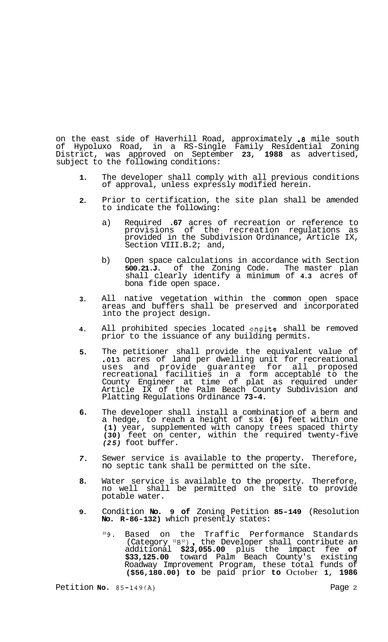on the east side of Haverhill Road, approximately **.8** mile south of Hypoluxo Road, in a RS-Single Family Residential Zoning District, was approved on September **23, 1988** as advertised, subject to the following conditions:

- **1.**  The developer shall comply with all previous conditions of approval, unless expressly modified herein.
- **2.**  Prior to certification, the site plan shall be amended to indicate the following:
	- a) Required **.67** acres of recreation or reference to provisions of the recreation regulations as provided in the Subdivision Ordinance, Article IX, Section VIII.B.2; and,
	- b) Open space calculations in accordance with Section **500.21.J.** of the Zoning Code. The master plan shall clearly identify a minimum of **4.3** acres of bona fide open space.
- **3.**  All native vegetation within the common open space areas and buffers shall be preserved and incorporated into the project design.
- **4.**  All prohibited species located onsite shall be removed prior to the issuance of any building permits.
- **5.**  The petitioner shall provide the equivalent value of **.013** acres of land per dwelling unit for recreational uses and provide guarantee for all proposed recreational facilities in a form acceptable to the County Engineer at time of plat as required under Article IX of the Palm Beach County Subdivision and Platting Regulations Ordinance **73-4.**
- **6.**  The developer shall install a combination of a berm and a hedge, to reach a height of six **(6)** feet within one **(1)** year, supplemented with canopy trees spaced thirty **(30)** feet on center, within the required twenty-five *(25)* foot buffer.
- *7.*  Sewer service is available to the property. Therefore, no septic tank shall be permitted on the site.
- **8.**  Water service is available to the property. Therefore, no well shall be permitted on the site to provide potable water.
- **9.**  Condition **No. 9 of** Zoning Petition **85-149** (Resolution **No. R-86-132)** which presently states:
	- **"9.** Based on the Traffic Performance Standards (Category "B") , the Developer shall contribute an additional **\$23,055.00** plus the impact fee **of \$33,125.00** toward Palm Beach County's existing Roadway Improvement Program, these total funds of **(\$56,180.00) to** be paid prior **to** October **1, 1986**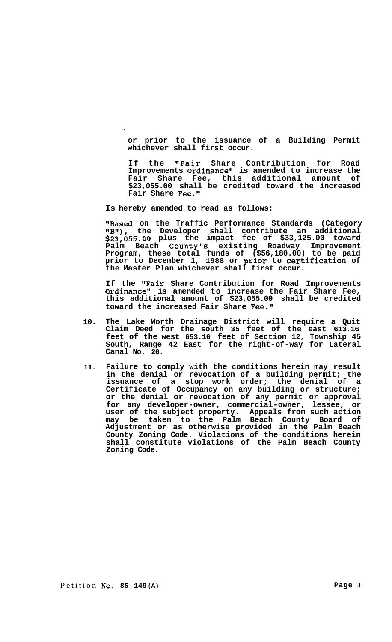**or prior to the issuance of a Building Permit whichever shall first occur.** 

**If the "Fair Share Contribution for Road Improvements Ordinance" is amended to increase the Fair Share Fee, this additional amount of \$23,055.00 shall be credited toward the increased Fair Share Fee."** 

**Is hereby amended to read as follows:** 

**"Based on the Traffic Performance Standards (Category )IBV1), the Developer shall contribute an additional \$23,055.00 plus the impact fee of \$33,125.00 toward Palm Beach County's existing Roadway Improvement Program, these total funds of (\$56,180.00) to be paid prior to December 1, 1988 or prior to Certification of the Master Plan whichever shall first occur.** 

**If the "Fair Share Contribution for Road Improvements Ordinancell is amended to increase the Fair Share Fee, this additional amount of \$23,055.00 shall be credited toward the increased Fair Share Fee.!'** 

- **10. The Lake Worth Drainage District will require a Quit Claim Deed for the south 35 feet of the east 613.16 feet of the west 653.16 feet of Section 12, Township 45 South, Range 42 East for the right-of-way for Lateral Canal No. 20.**
- **11. Failure to comply with the conditions herein may result in the denial or revocation of a building permit; the issuance of a stop work order; the denial of a Certificate of Occupancy on any building or structure; or the denial or revocation of any permit or approval for any developer-owner, commercial-owner, lessee, or user of the subject property. Appeals from such action may be taken to the Palm Beach County Board of Adjustment or as otherwise provided in the Palm Beach County Zoning Code. Violations of the conditions herein shall constitute violations of the Palm Beach County Zoning Code.**